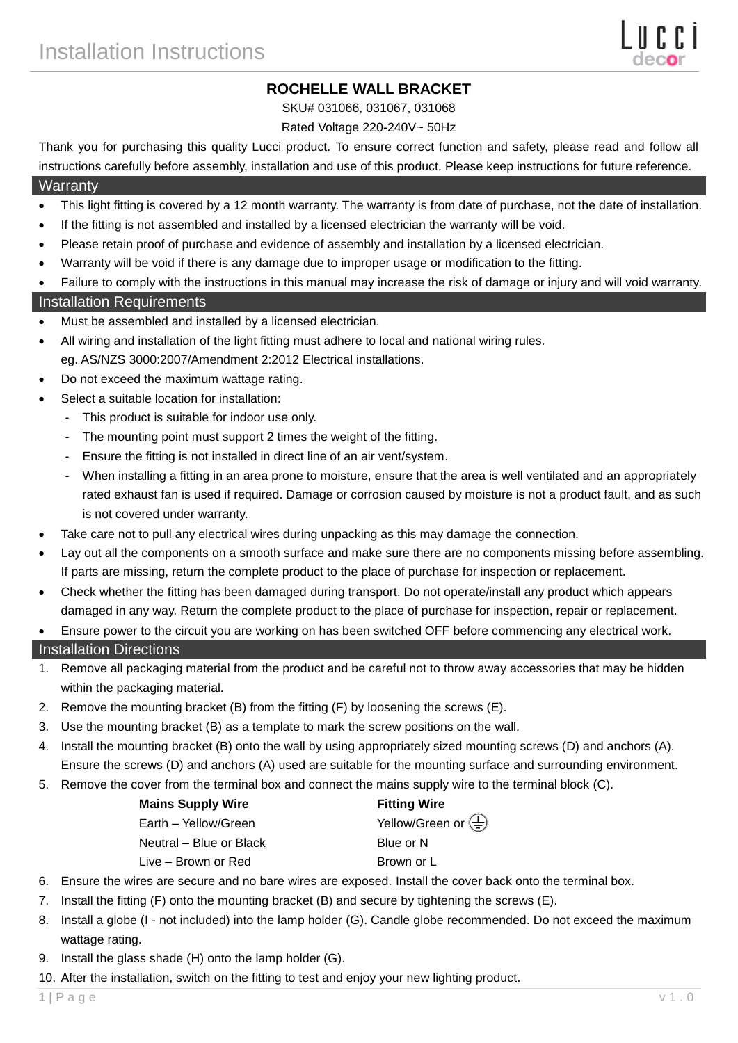# **ROCHELLE WALL BRACKET**

SKU# 031066, 031067, 031068

#### Rated Voltage 220-240V~ 50Hz

Thank you for purchasing this quality Lucci product. To ensure correct function and safety, please read and follow all instructions carefully before assembly, installation and use of this product. Please keep instructions for future reference.

## **Warranty**

- This light fitting is covered by a 12 month warranty. The warranty is from date of purchase, not the date of installation.
- If the fitting is not assembled and installed by a licensed electrician the warranty will be void.
- Please retain proof of purchase and evidence of assembly and installation by a licensed electrician.
- Warranty will be void if there is any damage due to improper usage or modification to the fitting.
- Failure to comply with the instructions in this manual may increase the risk of damage or injury and will void warranty.

### Installation Requirements

- Must be assembled and installed by a licensed electrician.
- All wiring and installation of the light fitting must adhere to local and national wiring rules.
- eg. AS/NZS 3000:2007/Amendment 2:2012 Electrical installations.
- Do not exceed the maximum wattage rating.
- Select a suitable location for installation:
	- This product is suitable for indoor use only.
	- The mounting point must support 2 times the weight of the fitting.
	- Ensure the fitting is not installed in direct line of an air vent/system.
	- When installing a fitting in an area prone to moisture, ensure that the area is well ventilated and an appropriately rated exhaust fan is used if required. Damage or corrosion caused by moisture is not a product fault, and as such is not covered under warranty.
- Take care not to pull any electrical wires during unpacking as this may damage the connection.
- Lay out all the components on a smooth surface and make sure there are no components missing before assembling. If parts are missing, return the complete product to the place of purchase for inspection or replacement.
- Check whether the fitting has been damaged during transport. Do not operate/install any product which appears damaged in any way. Return the complete product to the place of purchase for inspection, repair or replacement.
- Ensure power to the circuit you are working on has been switched OFF before commencing any electrical work.

#### Installation Directions

- 1. Remove all packaging material from the product and be careful not to throw away accessories that may be hidden within the packaging material.
- 2. Remove the mounting bracket (B) from the fitting (F) by loosening the screws (E).
- 3. Use the mounting bracket (B) as a template to mark the screw positions on the wall.
- 4. Install the mounting bracket (B) onto the wall by using appropriately sized mounting screws (D) and anchors (A). Ensure the screws (D) and anchors (A) used are suitable for the mounting surface and surrounding environment.
- 5. Remove the cover from the terminal box and connect the mains supply wire to the terminal block (C).

| <b>Mains Supply Wire</b> | <b>Fitting Wire</b>                                  |
|--------------------------|------------------------------------------------------|
| Earth - Yellow/Green     | Yellow/Green or $\left(\frac{\Gamma}{\Gamma}\right)$ |
| Neutral – Blue or Black  | Blue or N                                            |
| Live – Brown or Red      | Brown or L                                           |

- 6. Ensure the wires are secure and no bare wires are exposed. Install the cover back onto the terminal box.
- 7. Install the fitting (F) onto the mounting bracket (B) and secure by tightening the screws (E).
- 8. Install a globe (I not included) into the lamp holder (G). Candle globe recommended. Do not exceed the maximum wattage rating.
- 9. Install the glass shade (H) onto the lamp holder (G).
- 10. After the installation, switch on the fitting to test and enjoy your new lighting product.